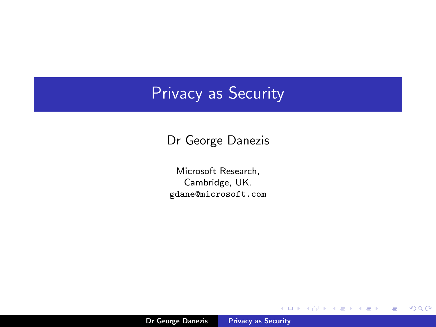## Privacy as Security

Dr George Danezis

Microsoft Research, Cambridge, UK. gdane@microsoft.com

K ロ ⊁ K 個 ⊁ K 差 ≯

 $\rightarrow$   $\equiv$   $\rightarrow$ 

重

<span id="page-0-0"></span> $299$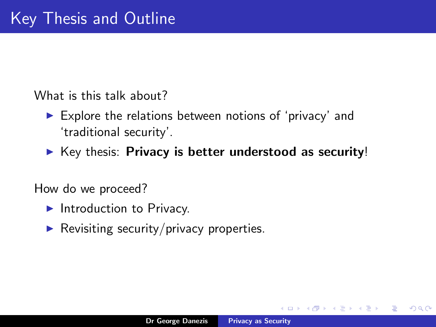What is this talk about?

- $\triangleright$  Explore the relations between notions of 'privacy' and 'traditional security'.
- $\triangleright$  Key thesis: Privacy is better understood as security!

How do we proceed?

- $\blacktriangleright$  Introduction to Privacy.
- $\blacktriangleright$  Revisiting security/privacy properties.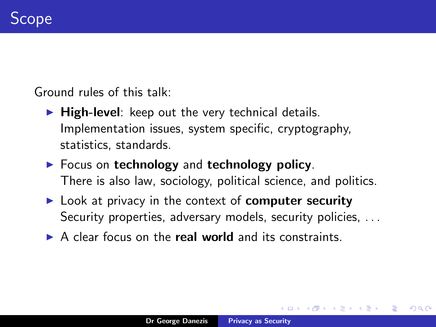Ground rules of this talk:

- $\blacktriangleright$  High-level: keep out the very technical details. Implementation issues, system specific, cryptography, statistics, standards.
- $\blacktriangleright$  Focus on technology and technology policy. There is also law, sociology, political science, and politics.
- $\blacktriangleright$  Look at privacy in the context of **computer security** Security properties, adversary models, security policies, ...
- $\triangleright$  A clear focus on the **real world** and its constraints.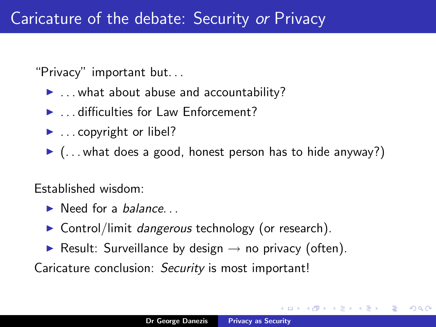"Privacy" important but. . .

- $\blacktriangleright$  ... what about abuse and accountability?
- $\blacktriangleright$  difficulties for Law Enforcement?
- $\blacktriangleright$  . copyright or libel?
- $\blacktriangleright$  (... what does a good, honest person has to hide anyway?)

Established wisdom:

- $\blacktriangleright$  Need for a *balance*...
- $\triangleright$  Control/limit *dangerous* technology (or research).
- **Result: Surveillance by design**  $\rightarrow$  no privacy (often).

Caricature conclusion: Security is most important!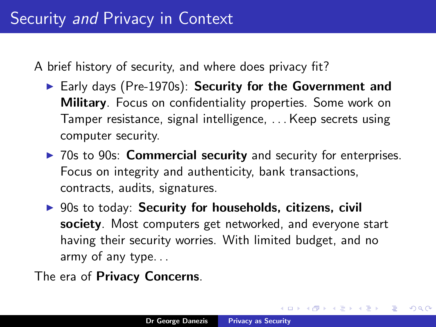A brief history of security, and where does privacy fit?

- $\blacktriangleright$  Early days (Pre-1970s): Security for the Government and Military. Focus on confidentiality properties. Some work on Tamper resistance, signal intelligence, . . . Keep secrets using computer security.
- $\triangleright$  70s to 90s: **Commercial security** and security for enterprises. Focus on integrity and authenticity, bank transactions, contracts, audits, signatures.
- $\triangleright$  90s to today: Security for households, citizens, civil society. Most computers get networked, and everyone start having their security worries. With limited budget, and no army of any type. . .
- The era of Privacy Concerns.

→ 作品 → → 全国 → → 全国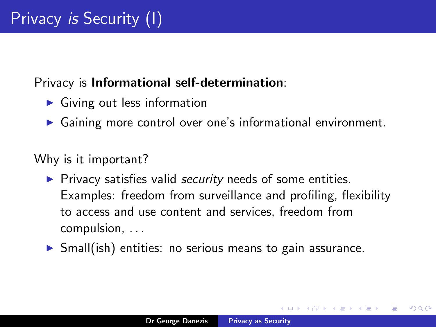## Privacy is Informational self-determination:

- $\blacktriangleright$  Giving out less information
- $\triangleright$  Gaining more control over one's informational environment.

Why is it important?

- $\blacktriangleright$  Privacy satisfies valid *security* needs of some entities. Examples: freedom from surveillance and profiling, flexibility to access and use content and services, freedom from compulsion, . . .
- $\triangleright$  Small(ish) entities: no serious means to gain assurance.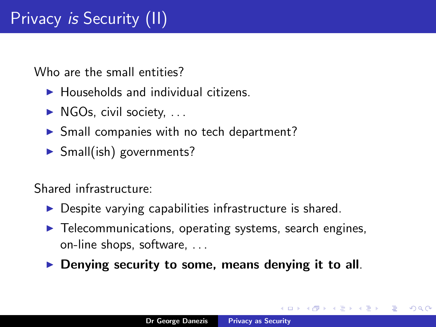Who are the small entities?

- $\blacktriangleright$  Households and individual citizens.
- $\triangleright$  NGOs, civil society,  $\dots$
- $\triangleright$  Small companies with no tech department?
- $\triangleright$  Small(ish) governments?

Shared infrastructure:

- $\triangleright$  Despite varying capabilities infrastructure is shared.
- $\blacktriangleright$  Telecommunications, operating systems, search engines, on-line shops, software, . . .
- $\triangleright$  Denying security to some, means denying it to all.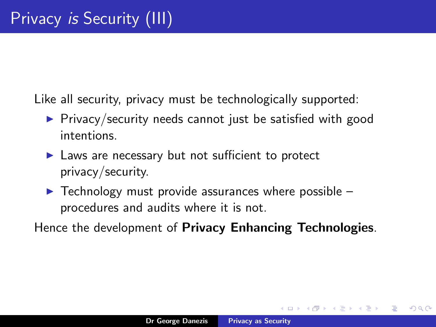Like all security, privacy must be technologically supported:

- $\triangleright$  Privacy/security needs cannot just be satisfied with good intentions.
- $\blacktriangleright$  Laws are necessary but not sufficient to protect privacy/security.
- $\blacktriangleright$  Technology must provide assurances where possible procedures and audits where it is not.

Hence the development of Privacy Enhancing Technologies.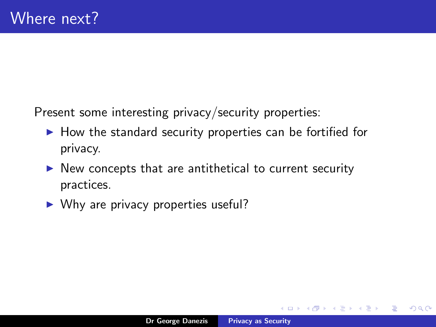Present some interesting privacy/security properties:

- $\blacktriangleright$  How the standard security properties can be fortified for privacy.
- $\triangleright$  New concepts that are antithetical to current security practices.
- $\triangleright$  Why are privacy properties useful?

 $2Q$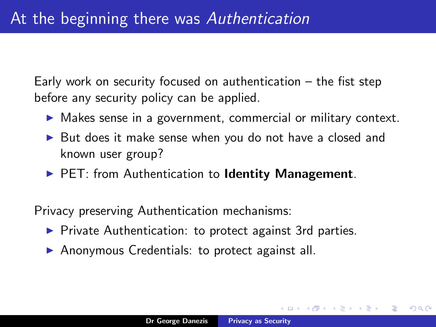Early work on security focused on authentication – the fist step before any security policy can be applied.

- $\triangleright$  Makes sense in a government, commercial or military context.
- $\triangleright$  But does it make sense when you do not have a closed and known user group?
- $\blacktriangleright$  PET: from Authentication to **Identity Management**.

Privacy preserving Authentication mechanisms:

- $\triangleright$  Private Authentication: to protect against 3rd parties.
- $\triangleright$  Anonymous Credentials: to protect against all.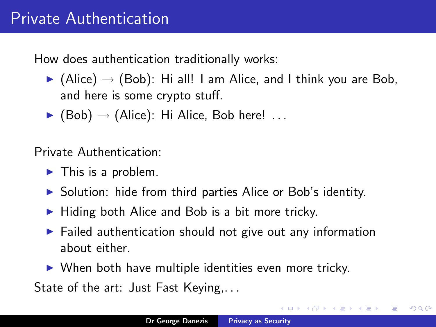How does authentication traditionally works:

- $\triangleright$  (Alice)  $\rightarrow$  (Bob): Hi all! I am Alice, and I think you are Bob, and here is some crypto stuff.
- $\blacktriangleright$  (Bob)  $\rightarrow$  (Alice): Hi Alice, Bob here! ...

Private Authentication:

- $\blacktriangleright$  This is a problem.
- $\triangleright$  Solution: hide from third parties Alice or Bob's identity.
- $\blacktriangleright$  Hiding both Alice and Bob is a bit more tricky.
- $\blacktriangleright$  Failed authentication should not give out any information about either.
- $\triangleright$  When both have multiple identities even more tricky.

State of the art: Just Fast Keying,...

つくい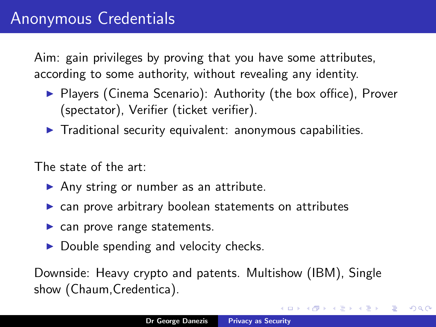Aim: gain privileges by proving that you have some attributes, according to some authority, without revealing any identity.

- ▶ Players (Cinema Scenario): Authority (the box office), Prover (spectator), Verifier (ticket verifier).
- $\blacktriangleright$  Traditional security equivalent: anonymous capabilities.

The state of the art:

- $\triangleright$  Any string or number as an attribute.
- $\triangleright$  can prove arbitrary boolean statements on attributes
- $\blacktriangleright$  can prove range statements.
- $\triangleright$  Double spending and velocity checks.

Downside: Heavy crypto and patents. Multishow (IBM), Single show (Chaum,Credentica).

→ 伊 → → ヨ →

 $2Q$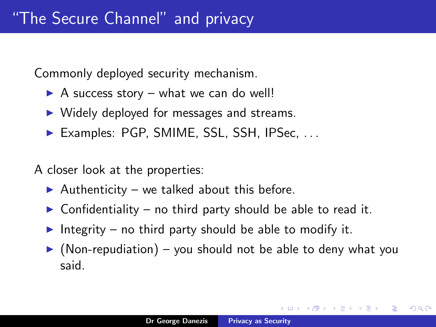Commonly deployed security mechanism.

- $\triangleright$  A success story what we can do well!
- $\triangleright$  Widely deployed for messages and streams.
- $\blacktriangleright$  Examples: PGP, SMIME, SSL, SSH, IPSec,  $\dots$

A closer look at the properties:

- Authenticity we talked about this before.
- $\triangleright$  Confidentiality no third party should be able to read it.
- Integrity no third party should be able to modify it.
- $\triangleright$  (Non-repudiation) you should not be able to deny what you said.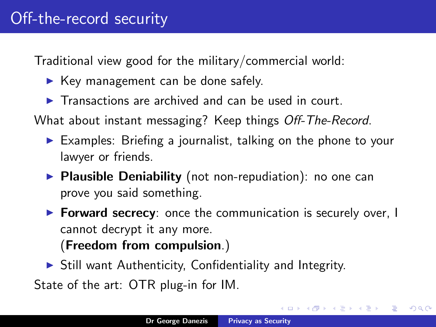Traditional view good for the military/commercial world:

- $\blacktriangleright$  Key management can be done safely.
- $\blacktriangleright$  Transactions are archived and can be used in court.

What about instant messaging? Keep things Off-The-Record.

- $\triangleright$  Examples: Briefing a journalist, talking on the phone to your lawyer or friends.
- $\triangleright$  Plausible Deniability (not non-repudiation): no one can prove you said something.
- $\triangleright$  Forward secrecy: once the communication is securely over, I cannot decrypt it any more.

(Freedom from compulsion.)

 $\triangleright$  Still want Authenticity, Confidentiality and Integrity.

State of the art: OTR plug-in for IM.

 $\mathcal{A}$   $\mathcal{A}$   $\mathcal{B}$   $\mathcal{A}$   $\mathcal{B}$   $\mathcal{B}$ 

つへへ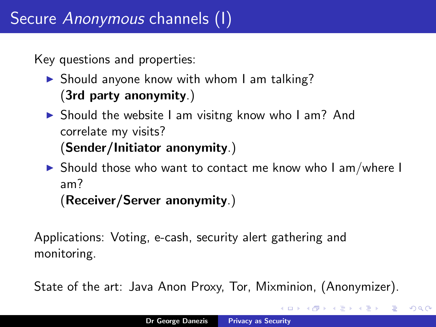Key questions and properties:

- $\triangleright$  Should anyone know with whom I am talking? (3rd party anonymity.)
- $\triangleright$  Should the website I am visitng know who I am? And correlate my visits? (Sender/Initiator anonymity.)
- $\triangleright$  Should those who want to contact me know who I am/where I am? (Receiver/Server anonymity.)

Applications: Voting, e-cash, security alert gathering and monitoring.

State of the art: Java Anon Proxy, Tor, Mixminion, (Anonymizer).

 $\Omega$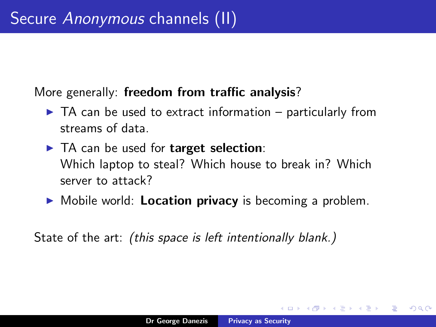## More generally: freedom from traffic analysis?

- $\blacktriangleright$  TA can be used to extract information particularly from streams of data.
- $\blacktriangleright$  TA can be used for target selection: Which laptop to steal? Which house to break in? Which server to attack?
- $\triangleright$  Mobile world: **Location privacy** is becoming a problem.

State of the art: *(this space is left intentionally blank.)*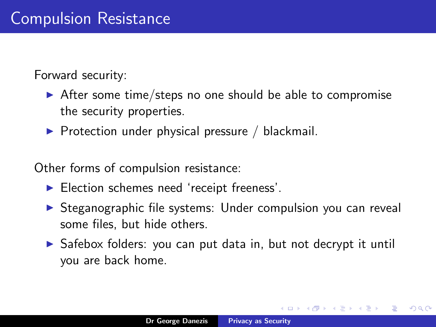Forward security:

- $\triangleright$  After some time/steps no one should be able to compromise the security properties.
- $\triangleright$  Protection under physical pressure / blackmail.

Other forms of compulsion resistance:

- $\blacktriangleright$  Election schemes need 'receipt freeness'.
- $\triangleright$  Steganographic file systems: Under compulsion you can reveal some files, but hide others.
- $\triangleright$  Safebox folders: you can put data in, but not decrypt it until you are back home.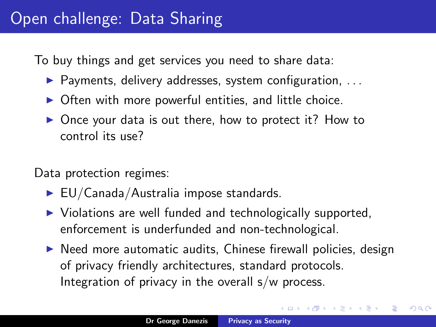To buy things and get services you need to share data:

- $\blacktriangleright$  Payments, delivery addresses, system configuration, ...
- $\triangleright$  Often with more powerful entities, and little choice.
- $\triangleright$  Once your data is out there, how to protect it? How to control its use?

Data protection regimes:

- $\blacktriangleright$  EU/Canada/Australia impose standards.
- $\triangleright$  Violations are well funded and technologically supported, enforcement is underfunded and non-technological.
- $\triangleright$  Need more automatic audits, Chinese firewall policies, design of privacy friendly architectures, standard protocols. Integration of privacy in the overall  $s/w$  process.

つへへ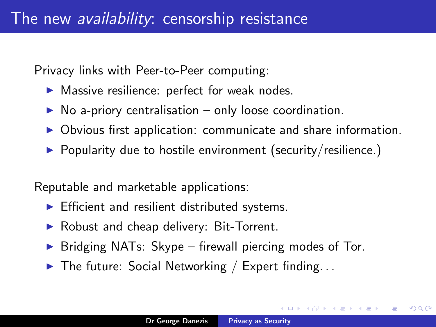Privacy links with Peer-to-Peer computing:

- $\blacktriangleright$  Massive resilience: perfect for weak nodes.
- $\triangleright$  No a-priory centralisation only loose coordination.
- $\triangleright$  Obvious first application: communicate and share information.
- $\triangleright$  Popularity due to hostile environment (security/resilience.)

Reputable and marketable applications:

- $\blacktriangleright$  Efficient and resilient distributed systems.
- $\triangleright$  Robust and cheap delivery: Bit-Torrent.
- Bridging NATs: Skype firewall piercing modes of Tor.
- $\triangleright$  The future: Social Networking / Expert finding...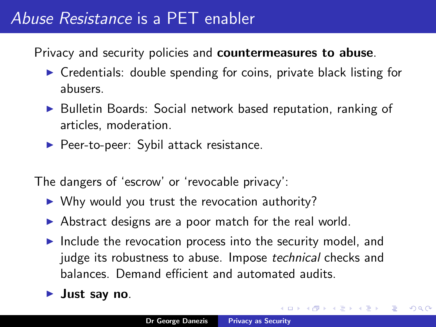## Abuse Resistance is a PET enabler

Privacy and security policies and **countermeasures to abuse**.

- $\triangleright$  Credentials: double spending for coins, private black listing for abusers.
- ▶ Bulletin Boards: Social network based reputation, ranking of articles, moderation.
- $\blacktriangleright$  Peer-to-peer: Sybil attack resistance.

The dangers of 'escrow' or 'revocable privacy':

- $\triangleright$  Why would you trust the revocation authority?
- $\triangleright$  Abstract designs are a poor match for the real world.
- $\blacktriangleright$  Include the revocation process into the security model, and judge its robustness to abuse. Impose technical checks and balances. Demand efficient and automated audits.
- Just say no.

つへへ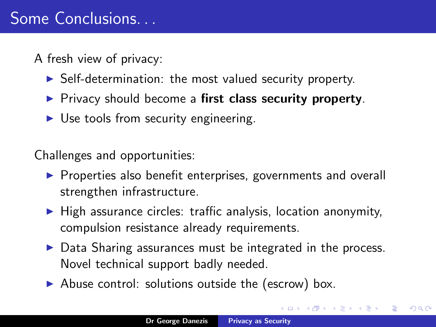A fresh view of privacy:

- $\triangleright$  Self-determination: the most valued security property.
- $\triangleright$  Privacy should become a first class security property.
- $\triangleright$  Use tools from security engineering.

Challenges and opportunities:

- $\triangleright$  Properties also benefit enterprises, governments and overall strengthen infrastructure.
- $\blacktriangleright$  High assurance circles: traffic analysis, location anonymity, compulsion resistance already requirements.
- $\triangleright$  Data Sharing assurances must be integrated in the process. Novel technical support badly needed.
- $\triangleright$  Abuse control: solutions outside the (escrow) box.